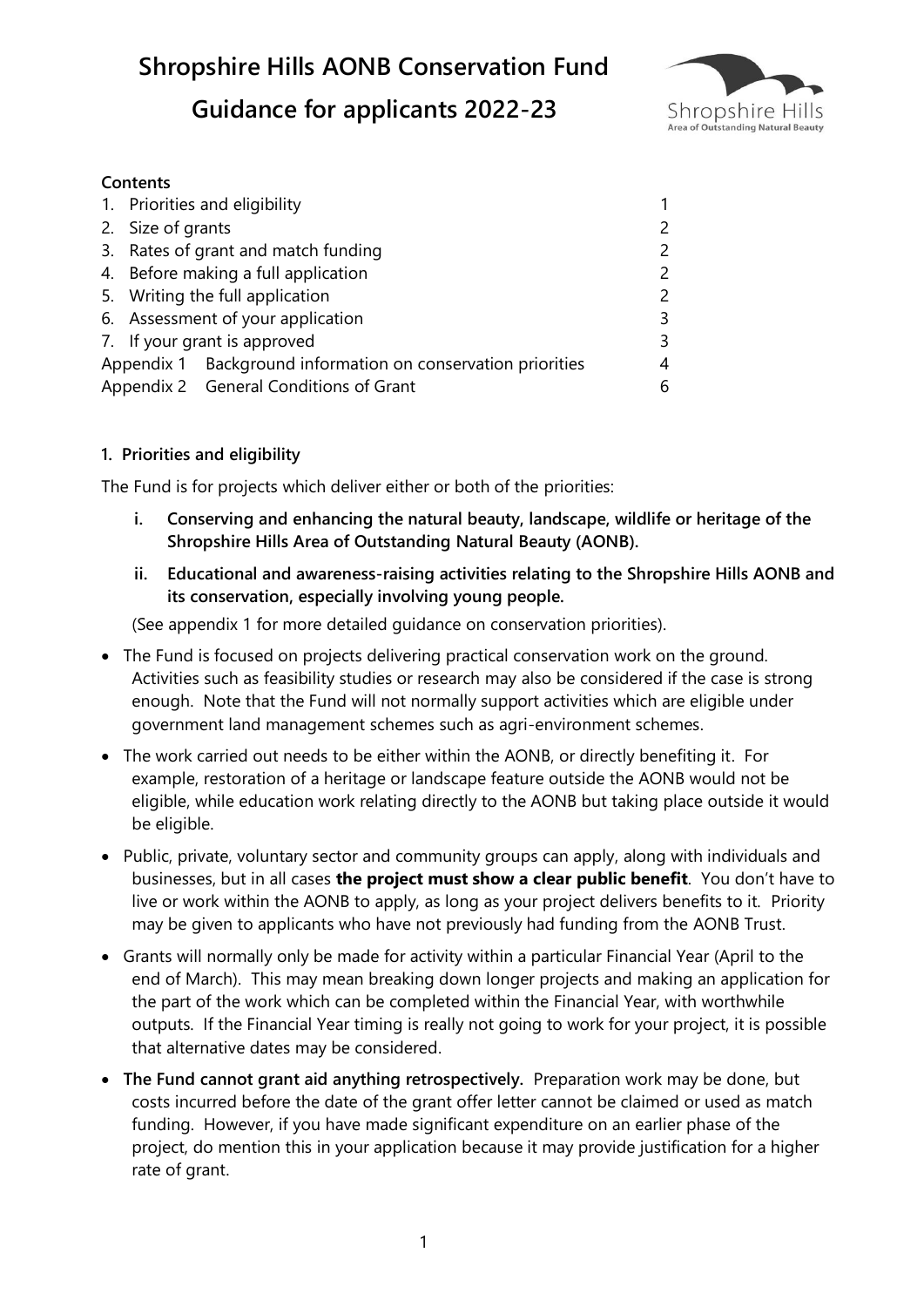

### **Contents**

|                                        |                                     | 1. Priorities and eligibility                                |   |
|----------------------------------------|-------------------------------------|--------------------------------------------------------------|---|
|                                        | 2. Size of grants                   |                                                              |   |
|                                        | 3. Rates of grant and match funding |                                                              |   |
|                                        | 4. Before making a full application |                                                              |   |
|                                        | 5. Writing the full application     |                                                              |   |
|                                        | 6. Assessment of your application   |                                                              | ς |
|                                        | 7. If your grant is approved        |                                                              | 3 |
|                                        |                                     | Appendix 1 Background information on conservation priorities | 4 |
| Appendix 2 General Conditions of Grant |                                     | 6                                                            |   |

# **1. Priorities and eligibility**

The Fund is for projects which deliver either or both of the priorities:

- **i. Conserving and enhancing the natural beauty, landscape, wildlife or heritage of the Shropshire Hills Area of Outstanding Natural Beauty (AONB).**
- **ii. Educational and awareness-raising activities relating to the Shropshire Hills AONB and its conservation, especially involving young people.**

(See appendix 1 for more detailed guidance on conservation priorities).

- The Fund is focused on projects delivering practical conservation work on the ground. Activities such as feasibility studies or research may also be considered if the case is strong enough. Note that the Fund will not normally support activities which are eligible under government land management schemes such as agri-environment schemes.
- The work carried out needs to be either within the AONB, or directly benefiting it. For example, restoration of a heritage or landscape feature outside the AONB would not be eligible, while education work relating directly to the AONB but taking place outside it would be eligible.
- Public, private, voluntary sector and community groups can apply, along with individuals and businesses, but in all cases **the project must show a clear public benefit**. You don't have to live or work within the AONB to apply, as long as your project delivers benefits to it. Priority may be given to applicants who have not previously had funding from the AONB Trust.
- Grants will normally only be made for activity within a particular Financial Year (April to the end of March). This may mean breaking down longer projects and making an application for the part of the work which can be completed within the Financial Year, with worthwhile outputs. If the Financial Year timing is really not going to work for your project, it is possible that alternative dates may be considered.
- **The Fund cannot grant aid anything retrospectively.** Preparation work may be done, but costs incurred before the date of the grant offer letter cannot be claimed or used as match funding. However, if you have made significant expenditure on an earlier phase of the project, do mention this in your application because it may provide justification for a higher rate of grant.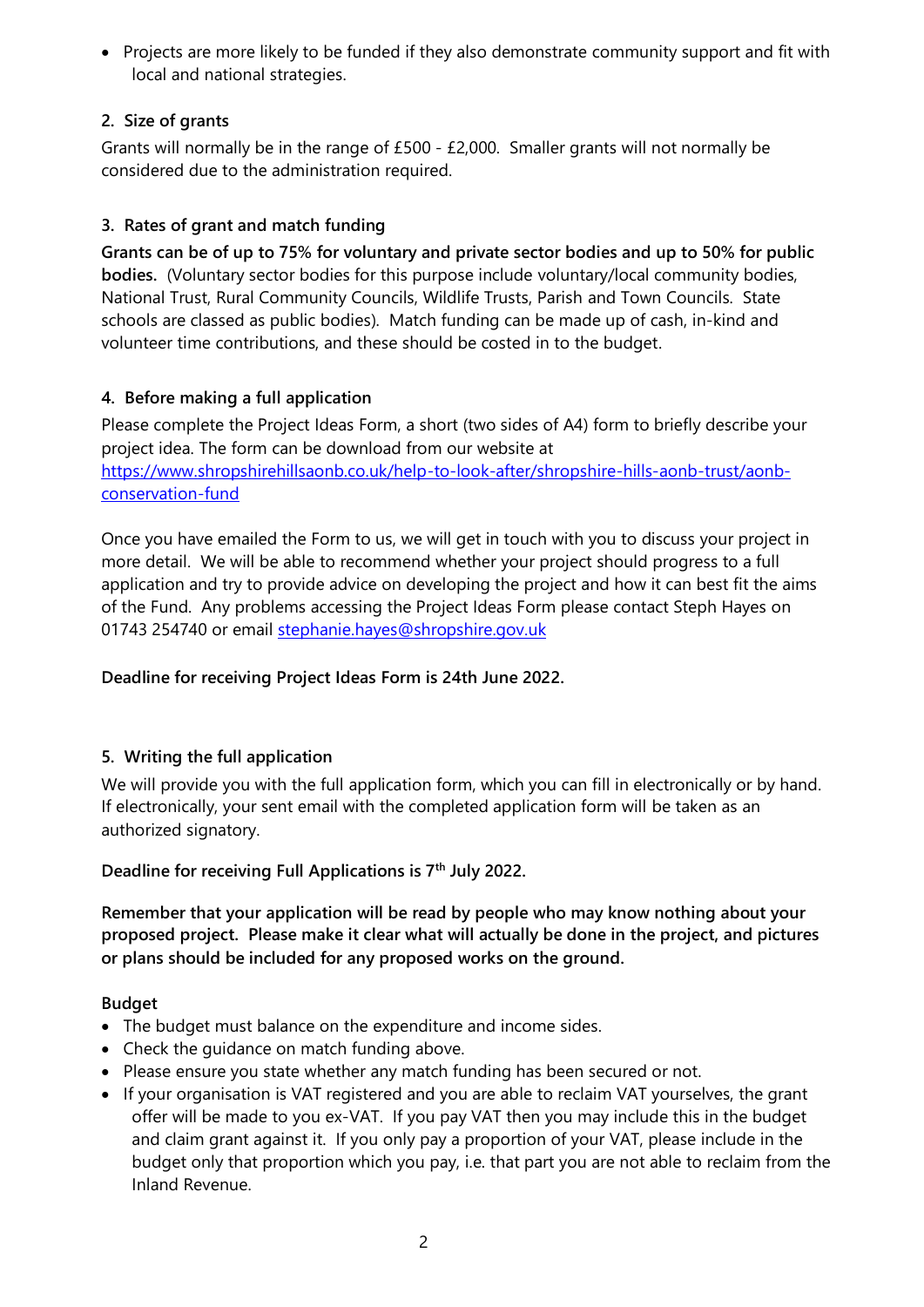• Projects are more likely to be funded if they also demonstrate community support and fit with local and national strategies.

# **2. Size of grants**

Grants will normally be in the range of £500 - £2,000. Smaller grants will not normally be considered due to the administration required.

# **3. Rates of grant and match funding**

**Grants can be of up to 75% for voluntary and private sector bodies and up to 50% for public bodies.** (Voluntary sector bodies for this purpose include voluntary/local community bodies, National Trust, Rural Community Councils, Wildlife Trusts, Parish and Town Councils. State schools are classed as public bodies). Match funding can be made up of cash, in-kind and volunteer time contributions, and these should be costed in to the budget.

# **4. Before making a full application**

Please complete the Project Ideas Form, a short (two sides of A4) form to briefly describe your project idea. The form can be download from our website at [https://www.shropshirehillsaonb.co.uk/help-to-look-after/shropshire-hills-aonb-trust/aonb](https://www.shropshirehillsaonb.co.uk/help-to-look-after/shropshire-hills-aonb-trust/aonb-conservation-fund)[conservation-fund](https://www.shropshirehillsaonb.co.uk/help-to-look-after/shropshire-hills-aonb-trust/aonb-conservation-fund)

Once you have emailed the Form to us, we will get in touch with you to discuss your project in more detail. We will be able to recommend whether your project should progress to a full application and try to provide advice on developing the project and how it can best fit the aims of the Fund. Any problems accessing the Project Ideas Form please contact Steph Hayes on 01743 254740 or email [stephanie.hayes@shropshire.gov.uk](mailto:stephanie.hayes@shropshire.gov.uk)

# **Deadline for receiving Project Ideas Form is 24th June 2022.**

# **5. Writing the full application**

We will provide you with the full application form, which you can fill in electronically or by hand. If electronically, your sent email with the completed application form will be taken as an authorized signatory.

# **Deadline for receiving Full Applications is 7th July 2022.**

**Remember that your application will be read by people who may know nothing about your proposed project. Please make it clear what will actually be done in the project, and pictures or plans should be included for any proposed works on the ground.** 

# **Budget**

- The budget must balance on the expenditure and income sides.
- Check the quidance on match funding above.
- Please ensure you state whether any match funding has been secured or not.
- If your organisation is VAT registered and you are able to reclaim VAT yourselves, the grant offer will be made to you ex-VAT. If you pay VAT then you may include this in the budget and claim grant against it. If you only pay a proportion of your VAT, please include in the budget only that proportion which you pay, i.e. that part you are not able to reclaim from the Inland Revenue.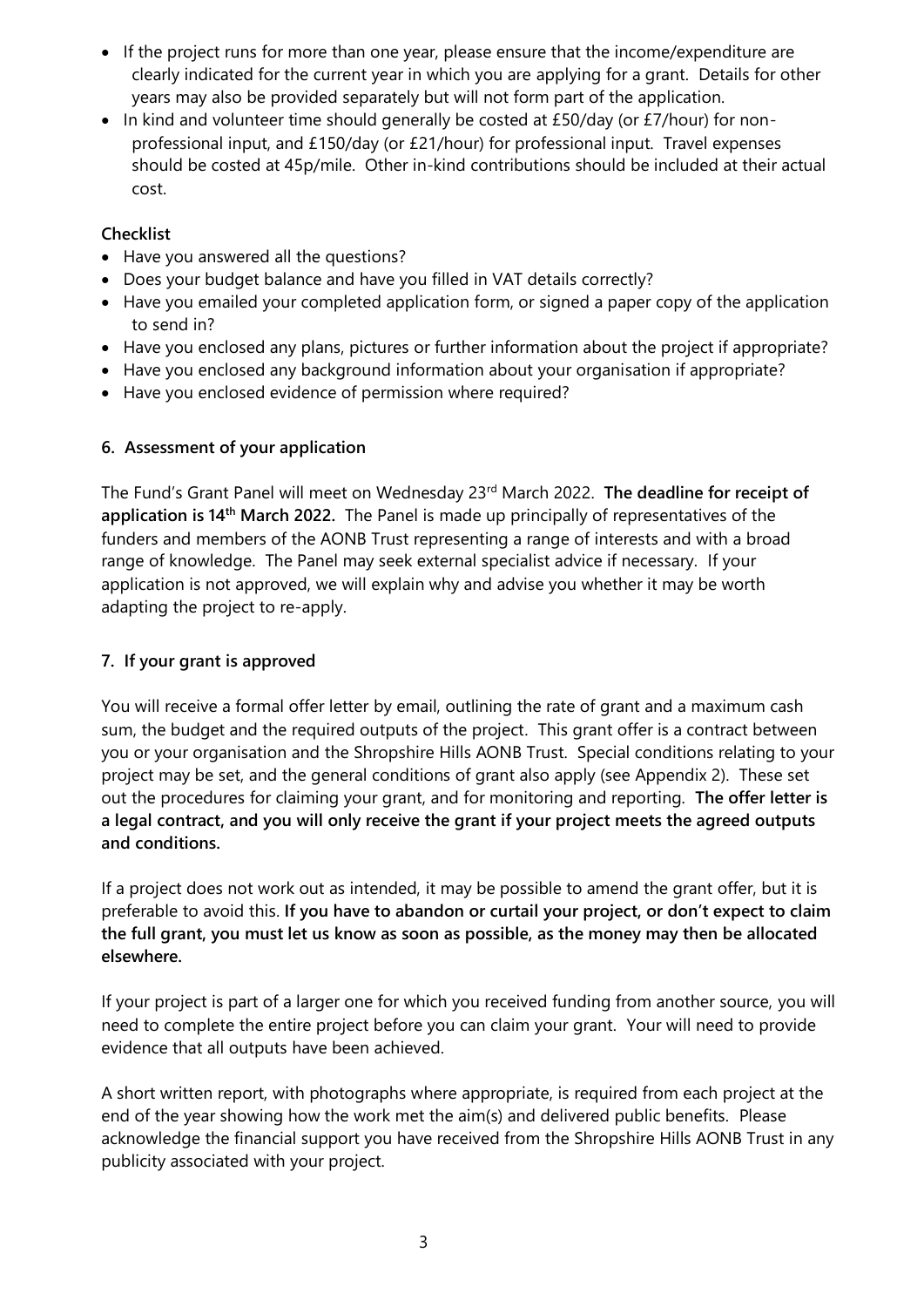- If the project runs for more than one year, please ensure that the income/expenditure are clearly indicated for the current year in which you are applying for a grant. Details for other years may also be provided separately but will not form part of the application.
- In kind and volunteer time should generally be costed at £50/day (or £7/hour) for nonprofessional input, and £150/day (or £21/hour) for professional input. Travel expenses should be costed at 45p/mile. Other in-kind contributions should be included at their actual cost.

### **Checklist**

- Have you answered all the questions?
- Does your budget balance and have you filled in VAT details correctly?
- Have you emailed your completed application form, or signed a paper copy of the application to send in?
- Have you enclosed any plans, pictures or further information about the project if appropriate?
- Have you enclosed any background information about your organisation if appropriate?
- Have you enclosed evidence of permission where required?

# **6. Assessment of your application**

The Fund's Grant Panel will meet on Wednesday 23<sup>rd</sup> March 2022. The deadline for receipt of **application is 14th March 2022.** The Panel is made up principally of representatives of the funders and members of the AONB Trust representing a range of interests and with a broad range of knowledge. The Panel may seek external specialist advice if necessary. If your application is not approved, we will explain why and advise you whether it may be worth adapting the project to re-apply.

# **7. If your grant is approved**

You will receive a formal offer letter by email, outlining the rate of grant and a maximum cash sum, the budget and the required outputs of the project. This grant offer is a contract between you or your organisation and the Shropshire Hills AONB Trust. Special conditions relating to your project may be set, and the general conditions of grant also apply (see Appendix 2). These set out the procedures for claiming your grant, and for monitoring and reporting. **The offer letter is a legal contract, and you will only receive the grant if your project meets the agreed outputs and conditions.** 

If a project does not work out as intended, it may be possible to amend the grant offer, but it is preferable to avoid this. **If you have to abandon or curtail your project, or don't expect to claim the full grant, you must let us know as soon as possible, as the money may then be allocated elsewhere.**

If your project is part of a larger one for which you received funding from another source, you will need to complete the entire project before you can claim your grant. Your will need to provide evidence that all outputs have been achieved.

A short written report, with photographs where appropriate, is required from each project at the end of the year showing how the work met the aim(s) and delivered public benefits. Please acknowledge the financial support you have received from the Shropshire Hills AONB Trust in any publicity associated with your project.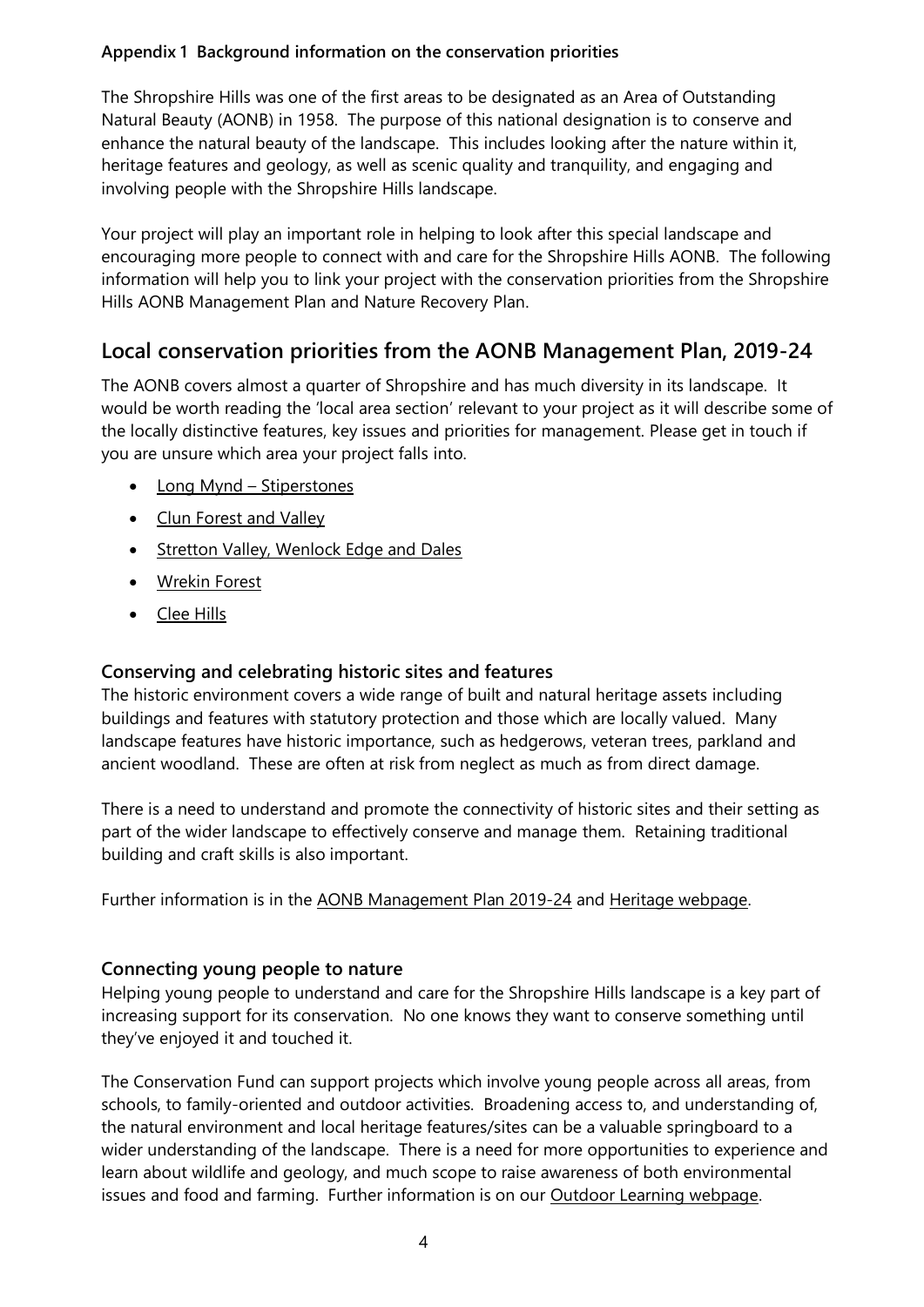### **Appendix 1 Background information on the conservation priorities**

The Shropshire Hills was one of the first areas to be designated as an Area of Outstanding Natural Beauty (AONB) in 1958. The purpose of this national designation is to conserve and enhance the natural beauty of the landscape. This includes looking after the nature within it, heritage features and geology, as well as scenic quality and tranquility, and engaging and involving people with the Shropshire Hills landscape.

Your project will play an important role in helping to look after this special landscape and encouraging more people to connect with and care for the Shropshire Hills AONB. The following information will help you to link your project with the conservation priorities from the Shropshire Hills AONB Management Plan and Nature Recovery Plan.

# **Local conservation priorities from the AONB Management Plan, 2019-24**

The AONB covers almost a quarter of Shropshire and has much diversity in its landscape. It would be worth reading the 'local area section' relevant to your project as it will describe some of the locally distinctive features, key issues and priorities for management. Please get in touch if you are unsure which area your project falls into.

- Long Mynd [Stiperstones](https://www.shropshirehillsaonb.co.uk/a-special-place/aonb-management-plan/long-mynd-and-stiperstones)
- [Clun Forest and Valley](https://www.shropshirehillsaonb.co.uk/a-special-place/aonb-management-plan/clun-forest-and-valley)
- [Stretton Valley, Wenlock Edge and Dales](https://www.shropshirehillsaonb.co.uk/a-special-place/aonb-management-plan/strettons-wenlock-edge-and-dales)
- [Wrekin Forest](https://www.shropshirehillsaonb.co.uk/a-special-place/aonb-management-plan/wrekin-forest)
- [Clee Hills](https://www.shropshirehillsaonb.co.uk/a-special-place/aonb-management-plan/clee-hills)

# **Conserving and celebrating historic sites and features**

The historic environment covers a wide range of built and natural heritage assets including buildings and features with statutory protection and those which are locally valued. Many landscape features have historic importance, such as hedgerows, veteran trees, parkland and ancient woodland. These are often at risk from neglect as much as from direct damage.

There is a need to understand and promote the connectivity of historic sites and their setting as part of the wider landscape to effectively conserve and manage them. Retaining traditional building and craft skills is also important.

Further information is in the [AONB Management Plan 2019-24](https://www.shropshirehillsaonb.co.uk/a-special-place/aonb-management-plan/2019-24-management-plan) and [Heritage webpage.](https://www.shropshirehillsaonb.co.uk/a-special-place/special-qualities/heritage)

# **Connecting young people to nature**

Helping young people to understand and care for the Shropshire Hills landscape is a key part of increasing support for its conservation. No one knows they want to conserve something until they've enjoyed it and touched it.

The Conservation Fund can support projects which involve young people across all areas, from schools, to family-oriented and outdoor activities. Broadening access to, and understanding of, the natural environment and local heritage features/sites can be a valuable springboard to a wider understanding of the landscape. There is a need for more opportunities to experience and learn about wildlife and geology, and much scope to raise awareness of both environmental issues and food and farming. Further information is on our [Outdoor Learning webpage.](https://www.shropshirehillsaonb.co.uk/help-to-look-after/resources/outdoor-learning)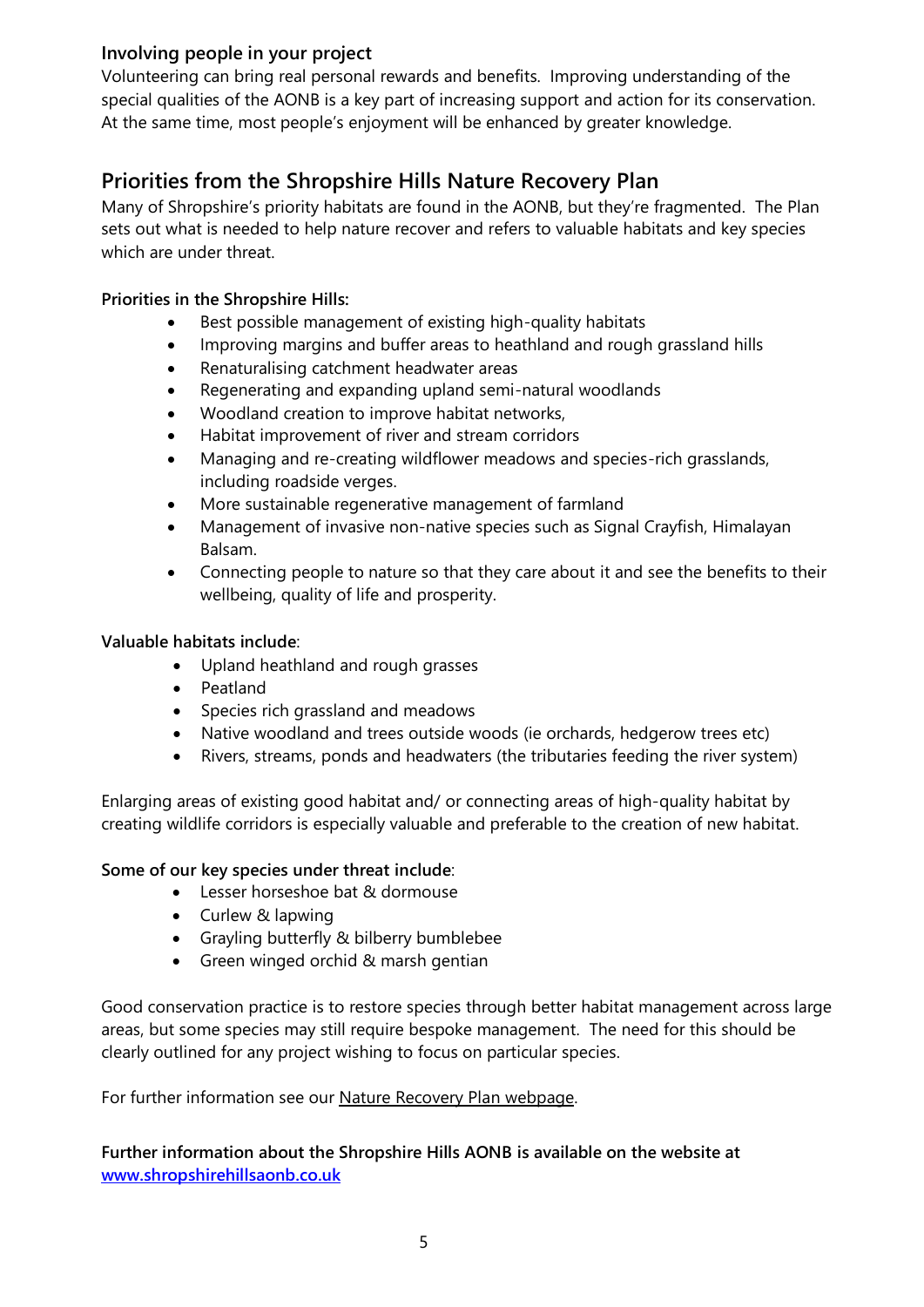# **Involving people in your project**

Volunteering can bring real personal rewards and benefits. Improving understanding of the special qualities of the AONB is a key part of increasing support and action for its conservation. At the same time, most people's enjoyment will be enhanced by greater knowledge.

# **Priorities from the Shropshire Hills Nature Recovery Plan**

Many of Shropshire's priority habitats are found in the AONB, but they're fragmented. The Plan sets out what is needed to help nature recover and refers to valuable habitats and key species which are under threat.

### **Priorities in the Shropshire Hills:**

- Best possible management of existing high-quality habitats
- Improving margins and buffer areas to heathland and rough grassland hills
- Renaturalising catchment headwater areas
- Regenerating and expanding upland semi-natural woodlands
- Woodland creation to improve habitat networks,
- Habitat improvement of river and stream corridors
- Managing and re-creating wildflower meadows and species-rich grasslands, including roadside verges.
- More sustainable regenerative management of farmland
- Management of invasive non-native species such as Signal Crayfish, Himalayan Balsam.
- Connecting people to nature so that they care about it and see the benefits to their wellbeing, quality of life and prosperity.

### **Valuable habitats include**:

- Upland heathland and rough grasses
- Peatland
- Species rich grassland and meadows
- Native woodland and trees outside woods (ie orchards, hedgerow trees etc)
- Rivers, streams, ponds and headwaters (the tributaries feeding the river system)

Enlarging areas of existing good habitat and/ or connecting areas of high-quality habitat by creating wildlife corridors is especially valuable and preferable to the creation of new habitat.

#### **Some of our key species under threat include**:

- Lesser horseshoe bat & dormouse
- Curlew & lapwing
- Grayling butterfly & bilberry bumblebee
- Green winged orchid & marsh gentian

Good conservation practice is to restore species through better habitat management across large areas, but some species may still require bespoke management. The need for this should be clearly outlined for any project wishing to focus on particular species.

#### For further information see our [Nature Recovery](https://www.shropshirehillsaonb.co.uk/a-special-place/climate-and-nature-recovery/nature-recovery-plan) Plan webpage.

**Further information about the Shropshire Hills AONB is available on the website at [www.shropshirehillsaonb.co.uk](https://www.shropshirehillsaonb.co.uk/)**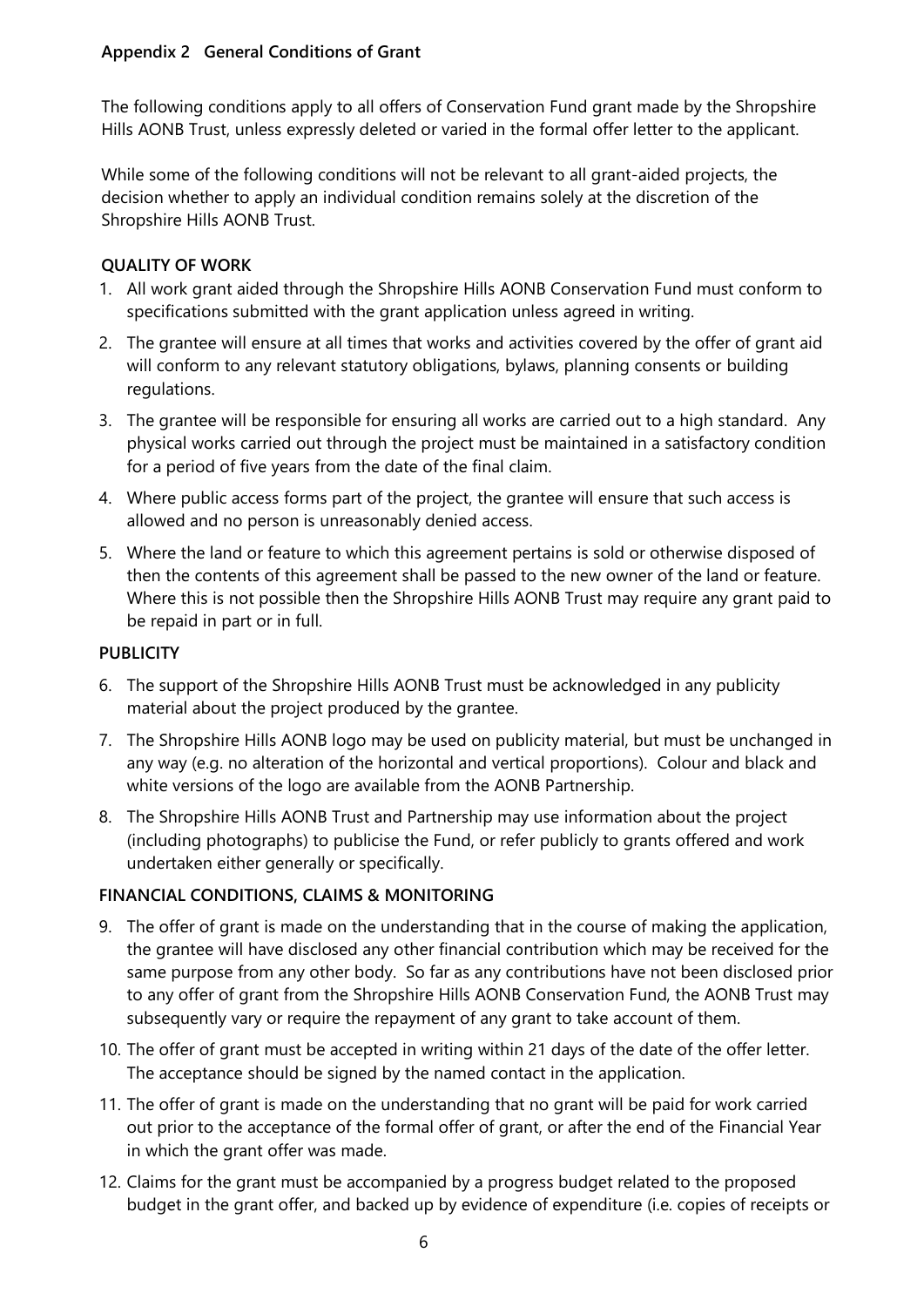### **Appendix 2 General Conditions of Grant**

The following conditions apply to all offers of Conservation Fund grant made by the Shropshire Hills AONB Trust, unless expressly deleted or varied in the formal offer letter to the applicant.

While some of the following conditions will not be relevant to all grant-aided projects, the decision whether to apply an individual condition remains solely at the discretion of the Shropshire Hills AONB Trust.

### **QUALITY OF WORK**

- 1. All work grant aided through the Shropshire Hills AONB Conservation Fund must conform to specifications submitted with the grant application unless agreed in writing.
- 2. The grantee will ensure at all times that works and activities covered by the offer of grant aid will conform to any relevant statutory obligations, bylaws, planning consents or building regulations.
- 3. The grantee will be responsible for ensuring all works are carried out to a high standard. Any physical works carried out through the project must be maintained in a satisfactory condition for a period of five years from the date of the final claim.
- 4. Where public access forms part of the project, the grantee will ensure that such access is allowed and no person is unreasonably denied access.
- 5. Where the land or feature to which this agreement pertains is sold or otherwise disposed of then the contents of this agreement shall be passed to the new owner of the land or feature. Where this is not possible then the Shropshire Hills AONB Trust may require any grant paid to be repaid in part or in full.

### **PUBLICITY**

- 6. The support of the Shropshire Hills AONB Trust must be acknowledged in any publicity material about the project produced by the grantee.
- 7. The Shropshire Hills AONB logo may be used on publicity material, but must be unchanged in any way (e.g. no alteration of the horizontal and vertical proportions). Colour and black and white versions of the logo are available from the AONB Partnership.
- 8. The Shropshire Hills AONB Trust and Partnership may use information about the project (including photographs) to publicise the Fund, or refer publicly to grants offered and work undertaken either generally or specifically.

# **FINANCIAL CONDITIONS, CLAIMS & MONITORING**

- 9. The offer of grant is made on the understanding that in the course of making the application, the grantee will have disclosed any other financial contribution which may be received for the same purpose from any other body. So far as any contributions have not been disclosed prior to any offer of grant from the Shropshire Hills AONB Conservation Fund, the AONB Trust may subsequently vary or require the repayment of any grant to take account of them.
- 10. The offer of grant must be accepted in writing within 21 days of the date of the offer letter. The acceptance should be signed by the named contact in the application.
- 11. The offer of grant is made on the understanding that no grant will be paid for work carried out prior to the acceptance of the formal offer of grant, or after the end of the Financial Year in which the grant offer was made.
- 12. Claims for the grant must be accompanied by a progress budget related to the proposed budget in the grant offer, and backed up by evidence of expenditure (i.e. copies of receipts or